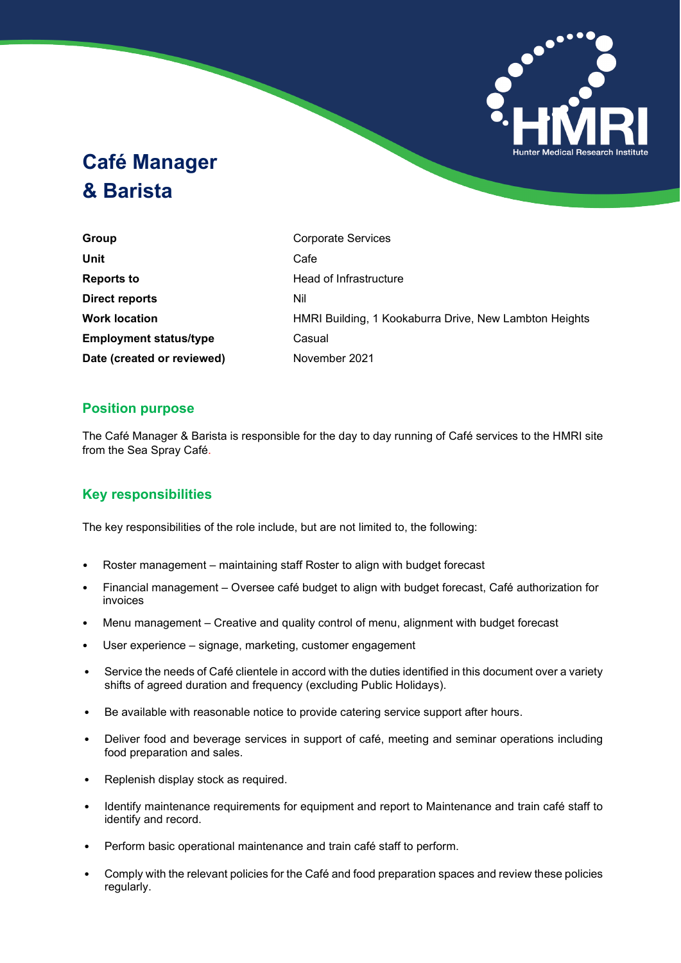

# **Café Manager & Barista**

**Group** Corporate Services **Unit** Cafe **Reports to Head of Infrastructure Direct reports** Nil **Employment status/type Casual Date (created or reviewed)** November 2021

**Work location HMRI Building, 1 Kookaburra Drive, New Lambton Heights** 

## **Position purpose**

The Café Manager & Barista is responsible for the day to day running of Café services to the HMRI site from the Sea Spray Café.

# **Key responsibilities**

The key responsibilities of the role include, but are not limited to, the following:

- Roster management maintaining staff Roster to align with budget forecast
- Financial management Oversee café budget to align with budget forecast, Café authorization for invoices
- Menu management Creative and quality control of menu, alignment with budget forecast
- User experience signage, marketing, customer engagement
- Service the needs of Café clientele in accord with the duties identified in this document over a variety shifts of agreed duration and frequency (excluding Public Holidays).
- Be available with reasonable notice to provide catering service support after hours.
- Deliver food and beverage services in support of café, meeting and seminar operations including food preparation and sales.
- Replenish display stock as required.
- Identify maintenance requirements for equipment and report to Maintenance and train café staff to identify and record.
- Perform basic operational maintenance and train café staff to perform.
- Comply with the relevant policies for the Café and food preparation spaces and review these policies regularly.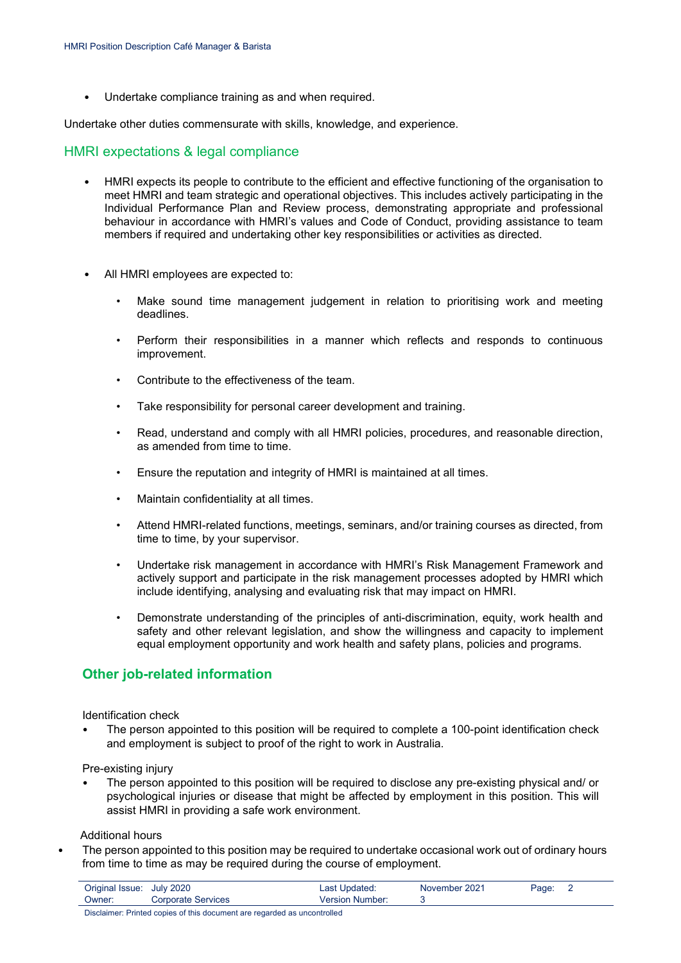• Undertake compliance training as and when required.

Undertake other duties commensurate with skills, knowledge, and experience.

#### HMRI expectations & legal compliance

- HMRI expects its people to contribute to the efficient and effective functioning of the organisation to meet HMRI and team strategic and operational objectives. This includes actively participating in the Individual Performance Plan and Review process, demonstrating appropriate and professional behaviour in accordance with HMRI's values and Code of Conduct, providing assistance to team members if required and undertaking other key responsibilities or activities as directed.
- All HMRI employees are expected to:
	- Make sound time management judgement in relation to prioritising work and meeting deadlines.
	- Perform their responsibilities in a manner which reflects and responds to continuous improvement.
	- Contribute to the effectiveness of the team.
	- Take responsibility for personal career development and training.
	- Read, understand and comply with all HMRI policies, procedures, and reasonable direction, as amended from time to time.
	- Ensure the reputation and integrity of HMRI is maintained at all times.
	- Maintain confidentiality at all times.
	- Attend HMRI-related functions, meetings, seminars, and/or training courses as directed, from time to time, by your supervisor.
	- Undertake risk management in accordance with HMRI's Risk Management Framework and actively support and participate in the risk management processes adopted by HMRI which include identifying, analysing and evaluating risk that may impact on HMRI.
	- Demonstrate understanding of the principles of anti-discrimination, equity, work health and safety and other relevant legislation, and show the willingness and capacity to implement equal employment opportunity and work health and safety plans, policies and programs.

### **Other job-related information**

Identification check

The person appointed to this position will be required to complete a 100-point identification check and employment is subject to proof of the right to work in Australia.

Pre-existing injury

• The person appointed to this position will be required to disclose any pre-existing physical and/ or psychological injuries or disease that might be affected by employment in this position. This will assist HMRI in providing a safe work environment.

#### Additional hours

The person appointed to this position may be required to undertake occasional work out of ordinary hours from time to time as may be required during the course of employment.

| Owner:<br>Corporate Services<br>Version Number: | Original Issue: July 2020 | Last Updated: | November 2021 | Page: |  |
|-------------------------------------------------|---------------------------|---------------|---------------|-------|--|
|                                                 |                           |               |               |       |  |

Disclaimer: Printed copies of this document are regarded as uncontrolled